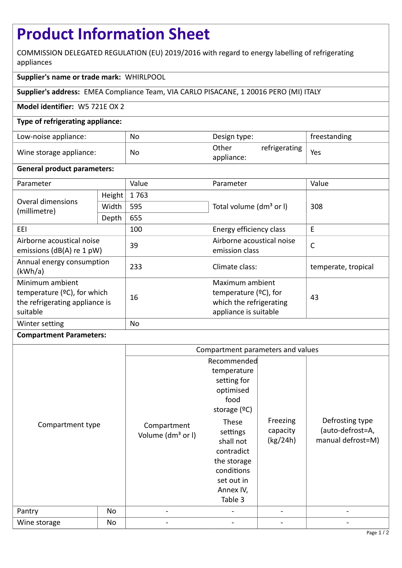# **Product Information Sheet**

COMMISSION DELEGATED REGULATION (EU) 2019/2016 with regard to energy labelling of refrigerating appliances

## **Supplier's name or trade mark:** WHIRLPOOL

**Supplier's address:** EMEA Compliance Team, VIA CARLO PISACANE, 1 20016 PERO (MI) ITALY

## **Model identifier:** W5 721E OX 2

## **Type of refrigerating appliance:**

| Low-noise appliance:    | No | Design type:                         | freestanding |
|-------------------------|----|--------------------------------------|--------------|
| Wine storage appliance: | No | Other<br>refrigerating<br>appliance: | Yes          |

#### **General product parameters:**

| Parameter                                                                                              |        | Value | Parameter                                                                                       | Value               |
|--------------------------------------------------------------------------------------------------------|--------|-------|-------------------------------------------------------------------------------------------------|---------------------|
| Overal dimensions<br>(millimetre)                                                                      | Height | 1763  |                                                                                                 | 308                 |
|                                                                                                        | Width  | 595   | Total volume (dm <sup>3</sup> or I)                                                             |                     |
|                                                                                                        | Depth  | 655   |                                                                                                 |                     |
| EEI                                                                                                    |        | 100   | Energy efficiency class                                                                         | E                   |
| Airborne acoustical noise<br>emissions ( $dB(A)$ re 1 pW)                                              |        | 39    | Airborne acoustical noise<br>emission class                                                     | $\mathsf{C}$        |
| Annual energy consumption<br>(kWh/a)                                                                   |        | 233   | Climate class:                                                                                  | temperate, tropical |
| Minimum ambient<br>temperature ( $\degree$ C), for which<br>the refrigerating appliance is<br>suitable |        | 16    | Maximum ambient<br>temperature $(°C)$ , for<br>which the refrigerating<br>appliance is suitable | 43                  |
| Winter setting                                                                                         |        | No    |                                                                                                 |                     |

#### **Compartment Parameters:**

|                  |    | Compartment parameters and values            |                                                                                                                                                                                      |                                  |                                                          |
|------------------|----|----------------------------------------------|--------------------------------------------------------------------------------------------------------------------------------------------------------------------------------------|----------------------------------|----------------------------------------------------------|
|                  |    |                                              | Recommended                                                                                                                                                                          |                                  |                                                          |
| Compartment type |    | Compartment<br>Volume (dm <sup>3</sup> or I) | temperature<br>setting for<br>optimised<br>food<br>storage $(°C)$<br>These<br>settings<br>shall not<br>contradict<br>the storage<br>conditions<br>set out in<br>Annex IV,<br>Table 3 | Freezing<br>capacity<br>(kg/24h) | Defrosting type<br>(auto-defrost=A,<br>manual defrost=M) |
| Pantry           | No |                                              |                                                                                                                                                                                      |                                  |                                                          |
| Wine storage     | No |                                              |                                                                                                                                                                                      |                                  |                                                          |